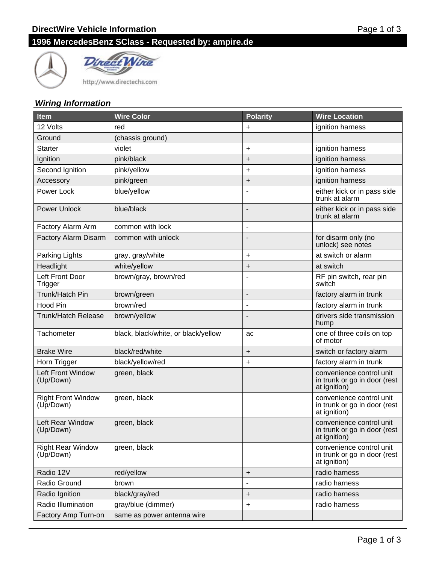



http://www.directechs.com

#### **Wiring Information**

| <b>Item</b>                            | <b>Wire Color</b>                   | <b>Polarity</b>          | <b>Wire Location</b>                                                     |
|----------------------------------------|-------------------------------------|--------------------------|--------------------------------------------------------------------------|
| 12 Volts                               | red                                 | +                        | ignition harness                                                         |
| Ground                                 | (chassis ground)                    |                          |                                                                          |
| <b>Starter</b>                         | violet                              | $\ddot{}$                | ignition harness                                                         |
| Ignition                               | pink/black                          | $\ddot{}$                | ignition harness                                                         |
| Second Ignition                        | pink/yellow                         | $\ddot{}$                | ignition harness                                                         |
| Accessory                              | pink/green                          | $\ddot{}$                | ignition harness                                                         |
| Power Lock                             | blue/yellow                         |                          | either kick or in pass side<br>trunk at alarm                            |
| <b>Power Unlock</b>                    | blue/black                          |                          | either kick or in pass side<br>trunk at alarm                            |
| Factory Alarm Arm                      | common with lock                    |                          |                                                                          |
| Factory Alarm Disarm                   | common with unlock                  |                          | for disarm only (no<br>unlock) see notes                                 |
| Parking Lights                         | gray, gray/white                    | $\ddot{}$                | at switch or alarm                                                       |
| Headlight                              | white/yellow                        | $\ddot{}$                | at switch                                                                |
| Left Front Door<br>Trigger             | brown/gray, brown/red               |                          | RF pin switch, rear pin<br>switch                                        |
| Trunk/Hatch Pin                        | brown/green                         | ÷,                       | factory alarm in trunk                                                   |
| <b>Hood Pin</b>                        | brown/red                           | $\overline{\phantom{a}}$ | factory alarm in trunk                                                   |
| <b>Trunk/Hatch Release</b>             | brown/yellow                        |                          | drivers side transmission<br>hump                                        |
| Tachometer                             | black, black/white, or black/yellow | ac                       | one of three coils on top<br>of motor                                    |
| <b>Brake Wire</b>                      | black/red/white                     | $\ddot{}$                | switch or factory alarm                                                  |
| Horn Trigger                           | black/yellow/red                    | $\ddot{}$                | factory alarm in trunk                                                   |
| Left Front Window<br>(Up/Down)         | green, black                        |                          | convenience control unit<br>in trunk or go in door (rest<br>at ignition) |
| <b>Right Front Window</b><br>(Up/Down) | green, black                        |                          | convenience control unit<br>in trunk or go in door (rest<br>at ignition) |
| Left Rear Window<br>(Up/Down)          | green, black                        |                          | convenience control unit<br>in trunk or go in door (rest<br>at ignition) |
| <b>Right Rear Window</b><br>(Up/Down)  | green, black                        |                          | convenience control unit<br>in trunk or go in door (rest<br>at ignition) |
| Radio 12V                              | red/yellow                          | $\ddot{}$                | radio harness                                                            |
| Radio Ground                           | brown                               |                          | radio harness                                                            |
| Radio Ignition                         | black/gray/red                      | $\ddot{}$                | radio harness                                                            |
| Radio Illumination                     | gray/blue (dimmer)                  | +                        | radio harness                                                            |
| Factory Amp Turn-on                    | same as power antenna wire          |                          |                                                                          |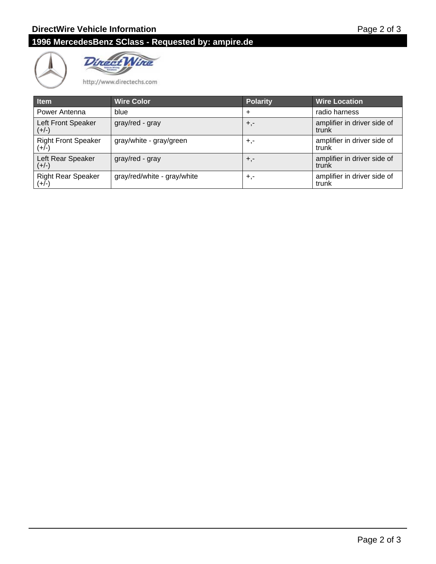



http://www.directechs.com

| <b>Item</b>                           | <b>Wire Color</b>           | <b>Polarity</b> | <b>Wire Location</b>                 |
|---------------------------------------|-----------------------------|-----------------|--------------------------------------|
| Power Antenna                         | blue                        | $\div$          | radio harness                        |
| Left Front Speaker<br>$(+/-)$         | gray/red - gray             | $+,-$           | amplifier in driver side of<br>trunk |
| <b>Right Front Speaker</b><br>$(+/-)$ | gray/white - gray/green     | $+,-$           | amplifier in driver side of<br>trunk |
| Left Rear Speaker<br>$(+/-)$          | gray/red - gray             | $+,-$           | amplifier in driver side of<br>trunk |
| <b>Right Rear Speaker</b><br>$(+/-)$  | gray/red/white - gray/white | $+,-$           | amplifier in driver side of<br>trunk |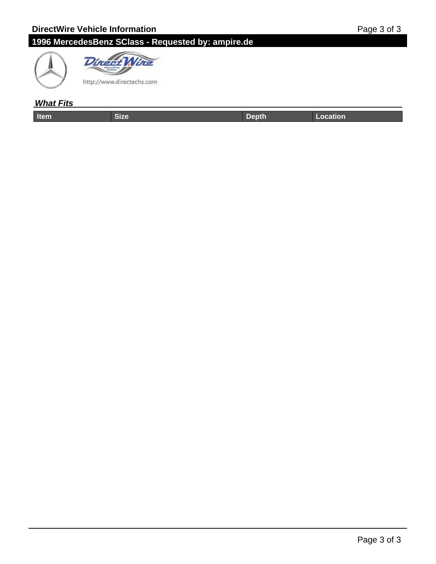



### **What Fits**

| ----- | . | والمستنب المتأمل المتناسبات المستحدث |
|-------|---|--------------------------------------|
|       |   |                                      |